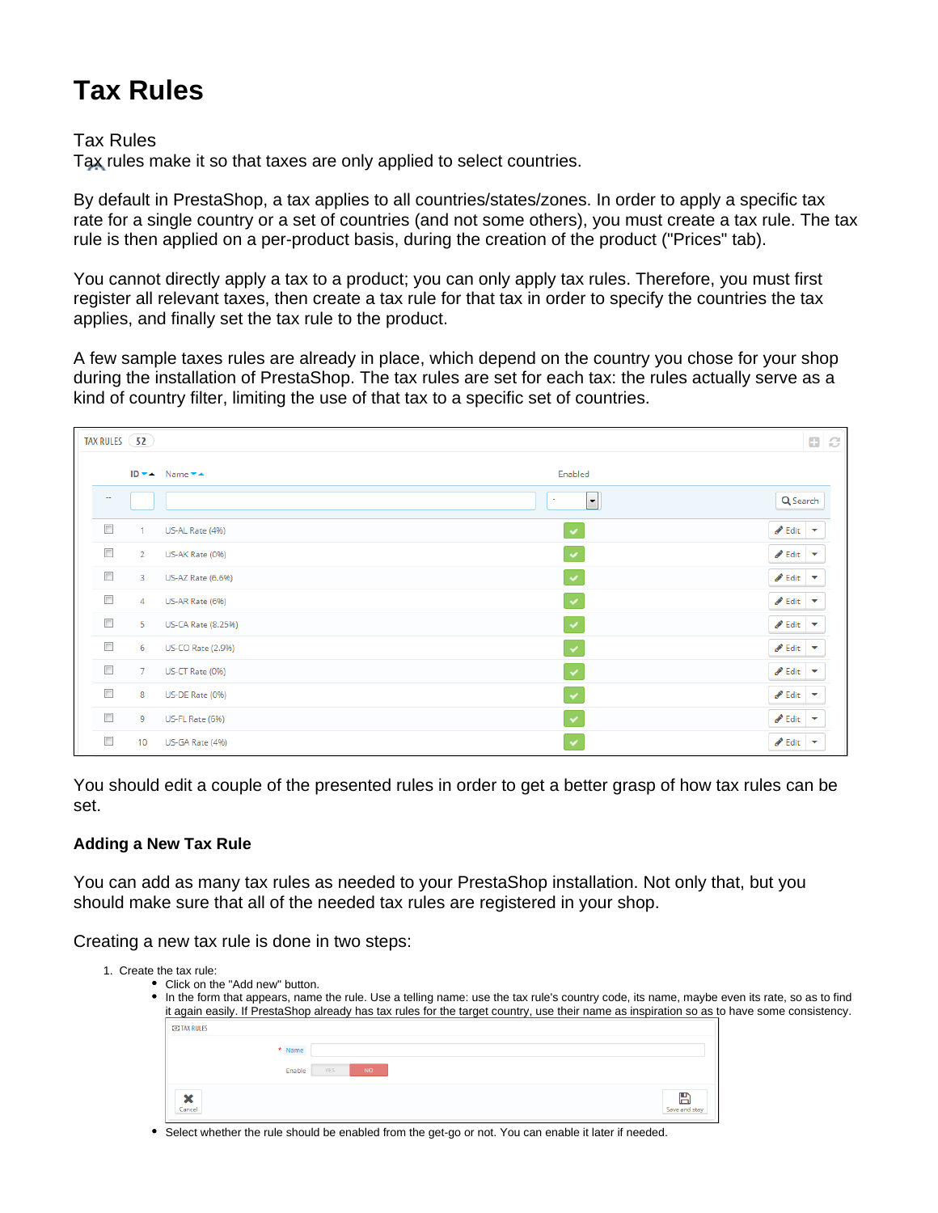## **Tax Rules**

## Tax Rules

Tax rules make it so that taxes are only applied to select countries.

By default in PrestaShop, a tax applies to all countries/states/zones. In order to apply a specific tax rate for a single country or a set of countries (and not some others), you must create a tax rule. The tax rule is then applied on a per-product basis, during the creation of the product ("Prices" tab).

You cannot directly apply a tax to a product; you can only apply tax rules. Therefore, you must first register all relevant taxes, then create a tax rule for that tax in order to specify the countries the tax applies, and finally set the tax rule to the product.

A few sample taxes rules are already in place, which depend on the country you chose for your shop during the installation of PrestaShop. The tax rules are set for each tax: the rules actually serve as a kind of country filter, limiting the use of that tax to a specific set of countries.

| TAX RULES (52)            |                |                                    |                                       | $\mathbf{B}$ $\mathbf{C}$ |
|---------------------------|----------------|------------------------------------|---------------------------------------|---------------------------|
|                           |                | ID v ▲ Name v ▲<br>Enabled         |                                       |                           |
| $\overline{\phantom{a}}$  |                | $\overline{\phantom{a}}$<br>٠      | Q Search                              |                           |
| $\overline{\mathbb{R}^n}$ | 1              | $\checkmark$<br>US-AL Rate (4%)    | $\triangle$ Edit $\blacktriangledown$ |                           |
| $\Box$                    | $\overline{2}$ | $\checkmark$<br>US-AK Rate (0%)    | $\triangle$ Edit $\blacktriangledown$ |                           |
| $\Box$                    | 3              | $\checkmark$<br>US-AZ Rate (6.6%)  | $\bullet$ Edit $\bullet$              |                           |
| $\Box$                    | $\overline{4}$ | $\checkmark$<br>US-AR Rate (6%)    | $\bullet$ Edit $\bullet$              |                           |
| $\overline{\mathbb{R}^n}$ | 5              | $\checkmark$<br>US-CA Rate (8.25%) | $\triangle$ Edit $\blacktriangledown$ |                           |
| $\Box$                    | 6              | $\checkmark$<br>US-CO Rate (2.9%)  | $\triangle$ Edit $\blacktriangledown$ |                           |
| $\Box$                    | $\overline{7}$ | $\checkmark$<br>US-CT Rate (0%)    | $\triangle$ Edit $\triangledown$      |                           |
| $\overline{\mathbb{R}^n}$ | 8              | $\checkmark$<br>US-DE Rate (0%)    | $\bullet$ Edit $\bullet$              |                           |
| $\overline{\phantom{a}}$  | 9              | $\checkmark$<br>US-FL Rate (6%)    | $\bullet$ Edit $\bullet$              |                           |
| $\Box$                    | 10             | $\checkmark$<br>US-GA Rate (4%)    | $\bullet$ Edit $\bullet$              |                           |

You should edit a couple of the presented rules in order to get a better grasp of how tax rules can be set.

## **Adding a New Tax Rule**

You can add as many tax rules as needed to your PrestaShop installation. Not only that, but you should make sure that all of the needed tax rules are registered in your shop.

Creating a new tax rule is done in two steps:

| 1. Create the tax rule: |                                  |                   |                    |                                                                                                                                            |
|-------------------------|----------------------------------|-------------------|--------------------|--------------------------------------------------------------------------------------------------------------------------------------------|
|                         | • Click on the "Add new" button. |                   |                    |                                                                                                                                            |
|                         |                                  |                   |                    | In the form that appears, name the rule. Use a telling name: use the tax rule's country code, its name, maybe even its rate, so as to find |
|                         |                                  |                   |                    | it again easily. If PrestaShop already has tax rules for the target country, use their name as inspiration so as to have some consistency. |
| <b>CO TAX RULES</b>     |                                  |                   |                    |                                                                                                                                            |
|                         | * Name                           |                   |                    |                                                                                                                                            |
|                         | Enable                           | NO.<br><b>YES</b> |                    |                                                                                                                                            |
| ×<br>Cancel             |                                  |                   | H<br>Save and stay |                                                                                                                                            |
|                         |                                  |                   |                    |                                                                                                                                            |

• Select whether the rule should be enabled from the get-go or not. You can enable it later if needed.